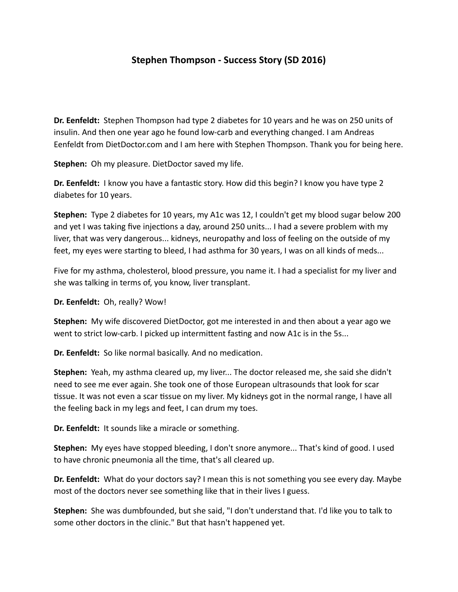## **Stephen Thompson - Success Story (SD 2016)**

**Dr. Eenfeldt:** Stephen Thompson had type 2 diabetes for 10 years and he was on 250 units of insulin. And then one year ago he found low-carb and everything changed. I am Andreas Eenfeldt from DietDoctor.com and I am here with Stephen Thompson. Thank you for being here.

**Stephen:** Oh my pleasure. DietDoctor saved my life.

**Dr. Eenfeldt:** I know you have a fantastic story. How did this begin? I know you have type 2 diabetes for 10 years.

**Stephen:** Type 2 diabetes for 10 years, my A1c was 12, I couldn't get my blood sugar below 200 and yet I was taking five injections a day, around 250 units... I had a severe problem with my liver, that was very dangerous... kidneys, neuropathy and loss of feeling on the outside of my feet, my eyes were starting to bleed, I had asthma for 30 years, I was on all kinds of meds...

Five for my asthma, cholesterol, blood pressure, you name it. I had a specialist for my liver and she was talking in terms of, you know, liver transplant.

**Dr. Eenfeldt:** Oh, really? Wow!

**Stephen:** My wife discovered DietDoctor, got me interested in and then about a year ago we went to strict low-carb. I picked up intermittent fasting and now A1c is in the 5s...

**Dr. Eenfeldt:** So like normal basically. And no medication.

**Stephen:** Yeah, my asthma cleared up, my liver... The doctor released me, she said she didn't need to see me ever again. She took one of those European ultrasounds that look for scar tissue. It was not even a scar tissue on my liver. My kidneys got in the normal range, I have all the feeling back in my legs and feet, I can drum my toes.

**Dr.** Eenfeldt: It sounds like a miracle or something.

**Stephen:** My eyes have stopped bleeding, I don't snore anymore... That's kind of good. I used to have chronic pneumonia all the time, that's all cleared up.

**Dr. Eenfeldt:** What do your doctors say? I mean this is not something you see every day. Maybe most of the doctors never see something like that in their lives I guess.

**Stephen:** She was dumbfounded, but she said, "I don't understand that. I'd like you to talk to some other doctors in the clinic." But that hasn't happened yet.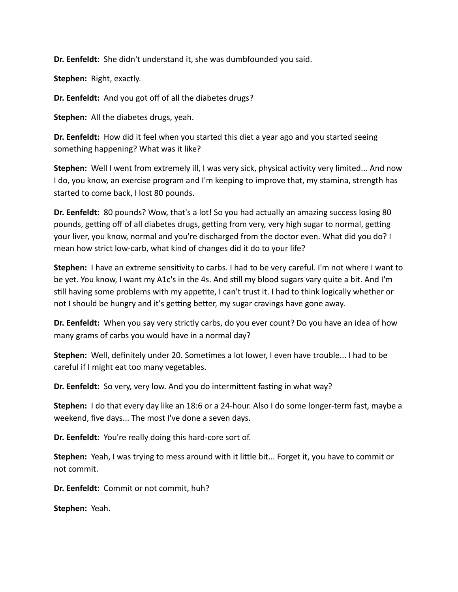**Dr. Eenfeldt:** She didn't understand it, she was dumbfounded you said.

**Stephen:** Right, exactly.

**Dr. Eenfeldt:** And you got off of all the diabetes drugs?

**Stephen:** All the diabetes drugs, yeah.

**Dr. Eenfeldt:** How did it feel when you started this diet a year ago and you started seeing something happening? What was it like?

**Stephen:** Well I went from extremely ill, I was very sick, physical activity very limited... And now I do, you know, an exercise program and I'm keeping to improve that, my stamina, strength has started to come back, I lost 80 pounds.

**Dr. Eenfeldt:** 80 pounds? Wow, that's a lot! So you had actually an amazing success losing 80 pounds, getting off of all diabetes drugs, getting from very, very high sugar to normal, getting your liver, you know, normal and you're discharged from the doctor even. What did you do? I mean how strict low-carb, what kind of changes did it do to your life?

**Stephen:** I have an extreme sensitivity to carbs. I had to be very careful. I'm not where I want to be yet. You know, I want my A1c's in the 4s. And still my blood sugars vary quite a bit. And I'm still having some problems with my appetite, I can't trust it. I had to think logically whether or not I should be hungry and it's getting better, my sugar cravings have gone away.

**Dr. Eenfeldt:** When you say very strictly carbs, do you ever count? Do you have an idea of how many grams of carbs you would have in a normal day?

**Stephen:** Well, definitely under 20. Sometimes a lot lower, I even have trouble... I had to be careful if I might eat too many vegetables.

**Dr. Eenfeldt:** So very, very low. And you do intermittent fasting in what way?

**Stephen:** I do that every day like an 18:6 or a 24-hour. Also I do some longer-term fast, maybe a weekend, five days... The most I've done a seven days.

**Dr. Eenfeldt:** You're really doing this hard-core sort of.

**Stephen:** Yeah, I was trying to mess around with it little bit... Forget it, you have to commit or not commit.

**Dr. Eenfeldt:** Commit or not commit, huh?

Stephen: Yeah.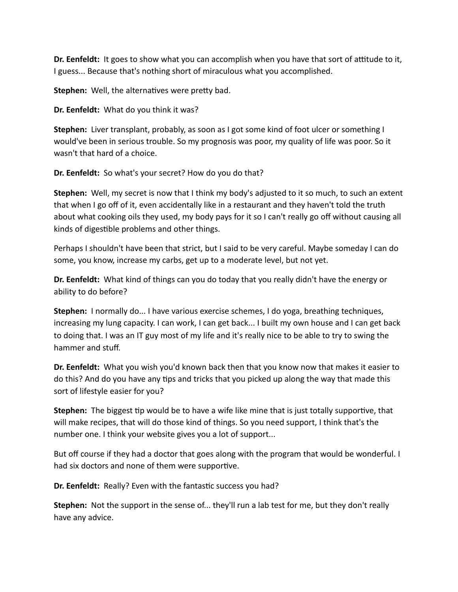**Dr. Eenfeldt:** It goes to show what you can accomplish when you have that sort of attitude to it, I guess... Because that's nothing short of miraculous what you accomplished.

**Stephen:** Well, the alternatives were pretty bad.

**Dr.** Eenfeldt: What do you think it was?

**Stephen:** Liver transplant, probably, as soon as I got some kind of foot ulcer or something I would've been in serious trouble. So my prognosis was poor, my quality of life was poor. So it wasn't that hard of a choice.

**Dr. Eenfeldt:** So what's your secret? How do you do that?

**Stephen:** Well, my secret is now that I think my body's adjusted to it so much, to such an extent that when I go off of it, even accidentally like in a restaurant and they haven't told the truth about what cooking oils they used, my body pays for it so I can't really go off without causing all kinds of digestible problems and other things.

Perhaps I shouldn't have been that strict, but I said to be very careful. Maybe someday I can do some, you know, increase my carbs, get up to a moderate level, but not yet.

**Dr. Eenfeldt:** What kind of things can you do today that you really didn't have the energy or ability to do before?

**Stephen:** I normally do... I have various exercise schemes, I do yoga, breathing techniques, increasing my lung capacity. I can work, I can get back... I built my own house and I can get back to doing that. I was an IT guy most of my life and it's really nice to be able to try to swing the hammer and stuff.

**Dr. Eenfeldt:** What you wish you'd known back then that you know now that makes it easier to do this? And do you have any tips and tricks that you picked up along the way that made this sort of lifestyle easier for you?

**Stephen:** The biggest tip would be to have a wife like mine that is just totally supportive, that will make recipes, that will do those kind of things. So you need support, I think that's the number one. I think your website gives you a lot of support...

But off course if they had a doctor that goes along with the program that would be wonderful. I had six doctors and none of them were supportive.

**Dr. Eenfeldt:** Really? Even with the fantastic success you had?

**Stephen:** Not the support in the sense of... they'll run a lab test for me, but they don't really have any advice.